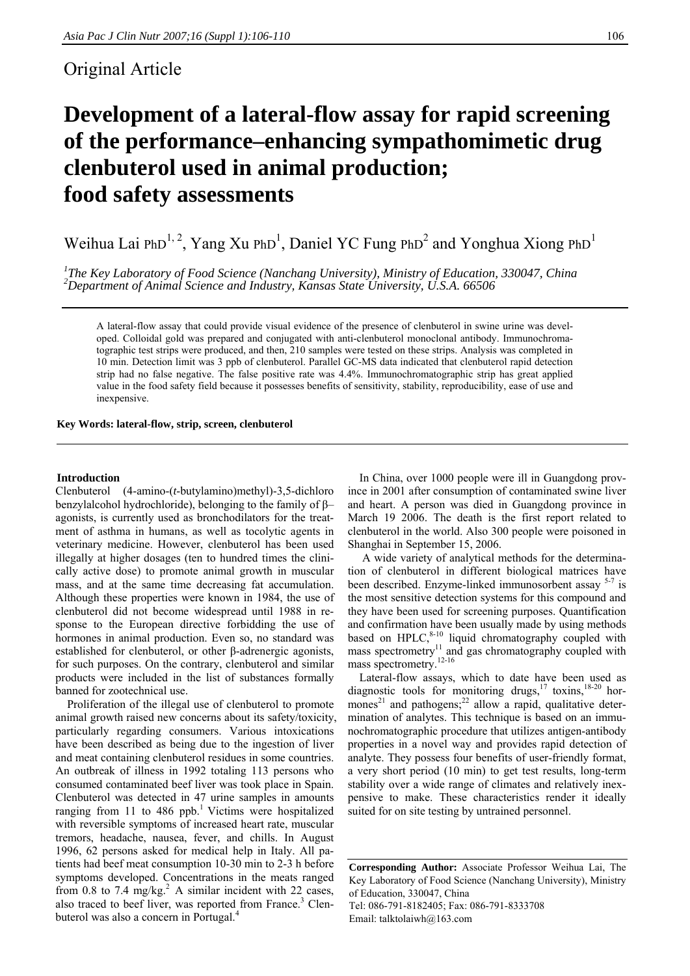# Original Article

# **Development of a lateral-flow assay for rapid screening of the performance–enhancing sympathomimetic drug clenbuterol used in animal production; food safety assessments**

Weihua Lai PhD<sup>1, 2</sup>, Yang Xu PhD<sup>1</sup>, Daniel YC Fung PhD<sup>2</sup> and Yonghua Xiong PhD<sup>1</sup>

<sup>1</sup>The Key Laboratory of Food Science (Nanchang University), Ministry of Education, 330047, China <sup>2</sup><br><sup>2</sup> Department of Animal Science and Industry, Kansas State University, U.S.A. 66506 *Department of Animal Science and Industry, Kansas State University, U.S.A. 66506* 

A lateral-flow assay that could provide visual evidence of the presence of clenbuterol in swine urine was developed. Colloidal gold was prepared and conjugated with anti-clenbuterol monoclonal antibody. Immunochromatographic test strips were produced, and then, 210 samples were tested on these strips. Analysis was completed in 10 min. Detection limit was 3 ppb of clenbuterol. Parallel GC-MS data indicated that clenbuterol rapid detection strip had no false negative. The false positive rate was 4.4%. Immunochromatographic strip has great applied value in the food safety field because it possesses benefits of sensitivity, stability, reproducibility, ease of use and inexpensive.

**Key Words: lateral-flow, strip, screen, clenbuterol** 

#### **Introduction**

Clenbuterol (4-amino-(*t*-butylamino)methyl)-3,5-dichloro benzylalcohol hydrochloride), belonging to the family of β– agonists, is currently used as bronchodilators for the treatment of asthma in humans, as well as tocolytic agents in veterinary medicine. However, clenbuterol has been used illegally at higher dosages (ten to hundred times the clinically active dose) to promote animal growth in muscular mass, and at the same time decreasing fat accumulation. Although these properties were known in 1984, the use of clenbuterol did not become widespread until 1988 in response to the European directive forbidding the use of hormones in animal production. Even so, no standard was established for clenbuterol, or other β-adrenergic agonists, for such purposes. On the contrary, clenbuterol and similar products were included in the list of substances formally banned for zootechnical use.

 Proliferation of the illegal use of clenbuterol to promote animal growth raised new concerns about its safety/toxicity, particularly regarding consumers. Various intoxications have been described as being due to the ingestion of liver and meat containing clenbuterol residues in some countries. An outbreak of illness in 1992 totaling 113 persons who consumed contaminated beef liver was took place in Spain. Clenbuterol was detected in 47 urine samples in amounts ranging from 11 to 486 ppb.<sup>1</sup> Victims were hospitalized with reversible symptoms of increased heart rate, muscular tremors, headache, nausea, fever, and chills. In August 1996, 62 persons asked for medical help in Italy. All patients had beef meat consumption 10-30 min to 2-3 h before symptoms developed. Concentrations in the meats ranged from  $0.8$  to  $7.4$  mg/kg.<sup>2</sup> A similar incident with 22 cases, also traced to beef liver, was reported from France.<sup>3</sup> Clenbuterol was also a concern in Portugal.<sup>4</sup>

 In China, over 1000 people were ill in Guangdong province in 2001 after consumption of contaminated swine liver and heart. A person was died in Guangdong province in March 19 2006. The death is the first report related to clenbuterol in the world. Also 300 people were poisoned in Shanghai in September 15, 2006.

 A wide variety of analytical methods for the determination of clenbuterol in different biological matrices have been described. Enzyme-linked immunosorbent assay 5-7 is the most sensitive detection systems for this compound and they have been used for screening purposes. Quantification and confirmation have been usually made by using methods based on HPLC, $8-10$  liquid chromatography coupled with mass spectrometry<sup>11</sup> and gas chromatography coupled with mass spectrometry.<sup>12-16</sup>

 Lateral-flow assays, which to date have been used as diagnostic tools for monitoring drugs,<sup>17</sup> toxins,<sup>18-20</sup> hormones<sup>21</sup> and pathogens;<sup>22</sup> allow a rapid, qualitative determination of analytes. This technique is based on an immunochromatographic procedure that utilizes antigen-antibody properties in a novel way and provides rapid detection of analyte. They possess four benefits of user-friendly format, a very short period (10 min) to get test results, long-term stability over a wide range of climates and relatively inexpensive to make. These characteristics render it ideally suited for on site testing by untrained personnel.

**Corresponding Author:** Associate Professor Weihua Lai, The Key Laboratory of Food Science (Nanchang University), Ministry of Education, 330047, China Tel: 086-791-8182405; Fax: 086-791-8333708 Email: talktolaiwh@163.com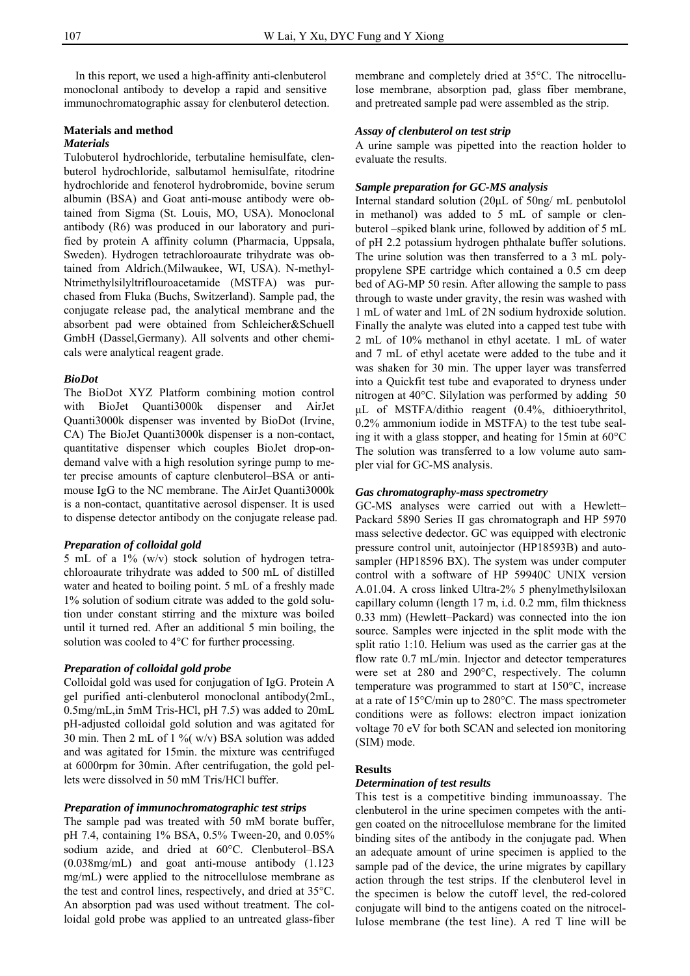In this report, we used a high-affinity anti-clenbuterol monoclonal antibody to develop a rapid and sensitive immunochromatographic assay for clenbuterol detection.

# **Materials and method**

# *Materials*

Tulobuterol hydrochloride, terbutaline hemisulfate, clenbuterol hydrochloride, salbutamol hemisulfate, ritodrine hydrochloride and fenoterol hydrobromide, bovine serum albumin (BSA) and Goat anti-mouse antibody were obtained from Sigma (St. Louis, MO, USA). Monoclonal antibody (R6) was produced in our laboratory and purified by protein A affinity column (Pharmacia, Uppsala, Sweden). Hydrogen tetrachloroaurate trihydrate was obtained from Aldrich.(Milwaukee, WI, USA). N-methyl-Ntrimethylsilyltriflouroacetamide (MSTFA) was purchased from Fluka (Buchs, Switzerland). Sample pad, the conjugate release pad, the analytical membrane and the absorbent pad were obtained from Schleicher&Schuell GmbH (Dassel,Germany). All solvents and other chemicals were analytical reagent grade.

# *BioDot*

The BioDot XYZ Platform combining motion control with BioJet Quanti3000k dispenser and AirJet Quanti3000k dispenser was invented by BioDot (Irvine, CA) The BioJet Quanti3000k dispenser is a non-contact, quantitative dispenser which couples BioJet drop-ondemand valve with a high resolution syringe pump to meter precise amounts of capture clenbuterol–BSA or antimouse IgG to the NC membrane. The AirJet Quanti3000k is a non-contact, quantitative aerosol dispenser. It is used to dispense detector antibody on the conjugate release pad.

# *Preparation of colloidal gold*

5 mL of a 1% (w/v) stock solution of hydrogen tetrachloroaurate trihydrate was added to 500 mL of distilled water and heated to boiling point. 5 mL of a freshly made 1% solution of sodium citrate was added to the gold solution under constant stirring and the mixture was boiled until it turned red. After an additional 5 min boiling, the solution was cooled to 4°C for further processing.

# *Preparation of colloidal gold probe*

Colloidal gold was used for conjugation of IgG. Protein A gel purified anti-clenbuterol monoclonal antibody(2mL, 0.5mg/mL,in 5mM Tris-HCl, pH 7.5) was added to 20mL pH-adjusted colloidal gold solution and was agitated for 30 min. Then 2 mL of 1 % ( $w/v$ ) BSA solution was added and was agitated for 15min. the mixture was centrifuged at 6000rpm for 30min. After centrifugation, the gold pellets were dissolved in 50 mM Tris/HCl buffer.

# *Preparation of immunochromatographic test strips*

The sample pad was treated with 50 mM borate buffer, pH 7.4, containing 1% BSA, 0.5% Tween-20, and 0.05% sodium azide, and dried at 60°C. Clenbuterol–BSA (0.038mg/mL) and goat anti-mouse antibody (1.123 mg/mL) were applied to the nitrocellulose membrane as the test and control lines, respectively, and dried at 35°C. An absorption pad was used without treatment. The colloidal gold probe was applied to an untreated glass-fiber

membrane and completely dried at 35°C. The nitrocellulose membrane, absorption pad, glass fiber membrane, and pretreated sample pad were assembled as the strip.

## *Assay of clenbuterol on test strip*

A urine sample was pipetted into the reaction holder to evaluate the results.

# *Sample preparation for GC-MS analysis*

Internal standard solution (20μL of 50ng/ mL penbutolol in methanol) was added to 5 mL of sample or clenbuterol –spiked blank urine, followed by addition of 5 mL of pH 2.2 potassium hydrogen phthalate buffer solutions. The urine solution was then transferred to a 3 mL polypropylene SPE cartridge which contained a 0.5 cm deep bed of AG-MP 50 resin. After allowing the sample to pass through to waste under gravity, the resin was washed with 1 mL of water and 1mL of 2N sodium hydroxide solution. Finally the analyte was eluted into a capped test tube with 2 mL of 10% methanol in ethyl acetate. 1 mL of water and 7 mL of ethyl acetate were added to the tube and it was shaken for 30 min. The upper layer was transferred into a Quickfit test tube and evaporated to dryness under nitrogen at 40°C. Silylation was performed by adding 50 μL of MSTFA/dithio reagent (0.4%, dithioerythritol, 0.2% ammonium iodide in MSTFA) to the test tube sealing it with a glass stopper, and heating for 15min at 60°C The solution was transferred to a low volume auto sampler vial for GC-MS analysis.

#### *Gas chromatography-mass spectrometry*

GC-MS analyses were carried out with a Hewlett– Packard 5890 Series II gas chromatograph and HP 5970 mass selective dedector. GC was equipped with electronic pressure control unit, autoinjector (HP18593B) and autosampler (HP18596 BX). The system was under computer control with a software of HP 59940C UNIX version A.01.04. A cross linked Ultra-2% 5 phenylmethylsiloxan capillary column (length 17 m, i.d. 0.2 mm, film thickness 0.33 mm) (Hewlett–Packard) was connected into the ion source. Samples were injected in the split mode with the split ratio 1:10. Helium was used as the carrier gas at the flow rate 0.7 mL/min. Injector and detector temperatures were set at 280 and 290°C, respectively. The column temperature was programmed to start at 150°C, increase at a rate of 15°C/min up to 280°C. The mass spectrometer conditions were as follows: electron impact ionization voltage 70 eV for both SCAN and selected ion monitoring (SIM) mode.

#### **Results**

# *Determination of test results*

This test is a competitive binding immunoassay. The clenbuterol in the urine specimen competes with the antigen coated on the nitrocellulose membrane for the limited binding sites of the antibody in the conjugate pad. When an adequate amount of urine specimen is applied to the sample pad of the device, the urine migrates by capillary action through the test strips. If the clenbuterol level in the specimen is below the cutoff level, the red-colored conjugate will bind to the antigens coated on the nitrocellulose membrane (the test line). A red T line will be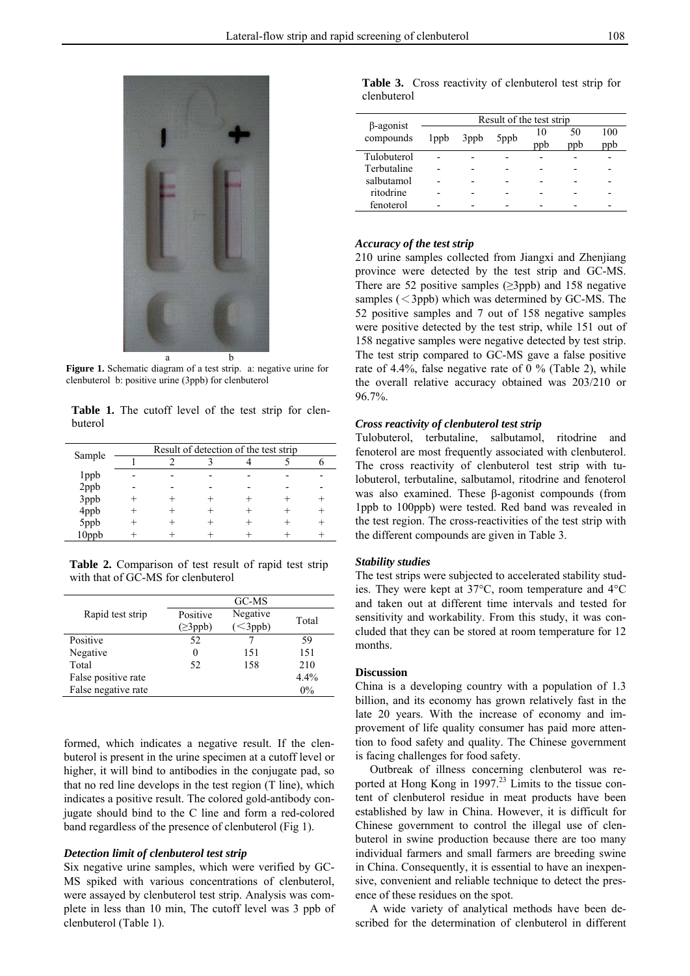

**Figure 1.** Schematic diagram of a test strip. a: negative urine for clenbuterol b: positive urine (3ppb) for clenbuterol

**Table 1.** The cutoff level of the test strip for clenbuterol

|                    | Result of detection of the test strip |  |  |  |  |  |  |
|--------------------|---------------------------------------|--|--|--|--|--|--|
| Sample             |                                       |  |  |  |  |  |  |
| 1 <sub>ppb</sub>   |                                       |  |  |  |  |  |  |
| $2$ ppb<br>$3$ ppb |                                       |  |  |  |  |  |  |
|                    |                                       |  |  |  |  |  |  |
|                    |                                       |  |  |  |  |  |  |
| 4ppb<br>5ppb       |                                       |  |  |  |  |  |  |
| 10ppb              |                                       |  |  |  |  |  |  |

**Table 2.** Comparison of test result of rapid test strip with that of GC-MS for clenbuterol

|                     | GC-MS          |              |         |  |  |  |
|---------------------|----------------|--------------|---------|--|--|--|
| Rapid test strip    | Positive       | Negative     |         |  |  |  |
|                     | $(\geq 3$ ppb) | $\leq$ 3ppb) | Total   |  |  |  |
| Positive            | 52             |              | 59      |  |  |  |
| Negative            | 0              | 151          | 151     |  |  |  |
| Total               | 52             | 158          | 210     |  |  |  |
| False positive rate |                |              | $4.4\%$ |  |  |  |
| False negative rate |                |              | $0\%$   |  |  |  |

formed, which indicates a negative result. If the clenbuterol is present in the urine specimen at a cutoff level or higher, it will bind to antibodies in the conjugate pad, so that no red line develops in the test region (T line), which indicates a positive result. The colored gold-antibody conjugate should bind to the C line and form a red-colored band regardless of the presence of clenbuterol (Fig 1).

# *Detection limit of clenbuterol test strip*

Six negative urine samples, which were verified by GC-MS spiked with various concentrations of clenbuterol, were assayed by clenbuterol test strip. Analysis was complete in less than 10 min, The cutoff level was 3 ppb of clenbuterol (Table 1).

|             |  | Table 3. Cross reactivity of clenbuterol test strip for |  |  |
|-------------|--|---------------------------------------------------------|--|--|
| clenbuterol |  |                                                         |  |  |

| $\beta$ -agonist | Result of the test strip |      |      |     |           |            |  |
|------------------|--------------------------|------|------|-----|-----------|------------|--|
| compounds        | 1 <sub>ppb</sub>         | 3ppb | 5ppb | ppb | 50<br>ppb | 100<br>ppb |  |
| Tulobuterol      |                          |      |      |     |           |            |  |
| Terbutaline      |                          |      |      |     |           |            |  |
| salbutamol       |                          |      |      |     |           |            |  |
| ritodrine        |                          |      |      |     |           |            |  |
| fenoterol        |                          |      |      |     |           |            |  |

# *Accuracy of the test strip*

210 urine samples collected from Jiangxi and Zhenjiang province were detected by the test strip and GC-MS. There are 52 positive samples  $(\geq 3 \text{ pb})$  and 158 negative samples  $(<$ 3ppb) which was determined by GC-MS. The 52 positive samples and 7 out of 158 negative samples were positive detected by the test strip, while 151 out of 158 negative samples were negative detected by test strip. The test strip compared to GC-MS gave a false positive rate of 4.4%, false negative rate of 0 % (Table 2), while the overall relative accuracy obtained was 203/210 or 96.7%.

#### *Cross reactivity of clenbuterol test strip*

Tulobuterol, terbutaline, salbutamol, ritodrine and fenoterol are most frequently associated with clenbuterol. The cross reactivity of clenbuterol test strip with tulobuterol, terbutaline, salbutamol, ritodrine and fenoterol was also examined. These β-agonist compounds (from 1ppb to 100ppb) were tested. Red band was revealed in the test region. The cross-reactivities of the test strip with the different compounds are given in Table 3.

#### *Stability studies*

The test strips were subjected to accelerated stability studies. They were kept at 37°C, room temperature and 4°C and taken out at different time intervals and tested for sensitivity and workability. From this study, it was concluded that they can be stored at room temperature for 12 months.

#### **Discussion**

China is a developing country with a population of 1.3 billion, and its economy has grown relatively fast in the late 20 years. With the increase of economy and improvement of life quality consumer has paid more attention to food safety and quality. The Chinese government is facing challenges for food safety.

 Outbreak of illness concerning clenbuterol was reported at Hong Kong in 1997.<sup>23</sup> Limits to the tissue content of clenbuterol residue in meat products have been established by law in China. However, it is difficult for Chinese government to control the illegal use of clenbuterol in swine production because there are too many individual farmers and small farmers are breeding swine in China. Consequently, it is essential to have an inexpensive, convenient and reliable technique to detect the presence of these residues on the spot.

 A wide variety of analytical methods have been described for the determination of clenbuterol in different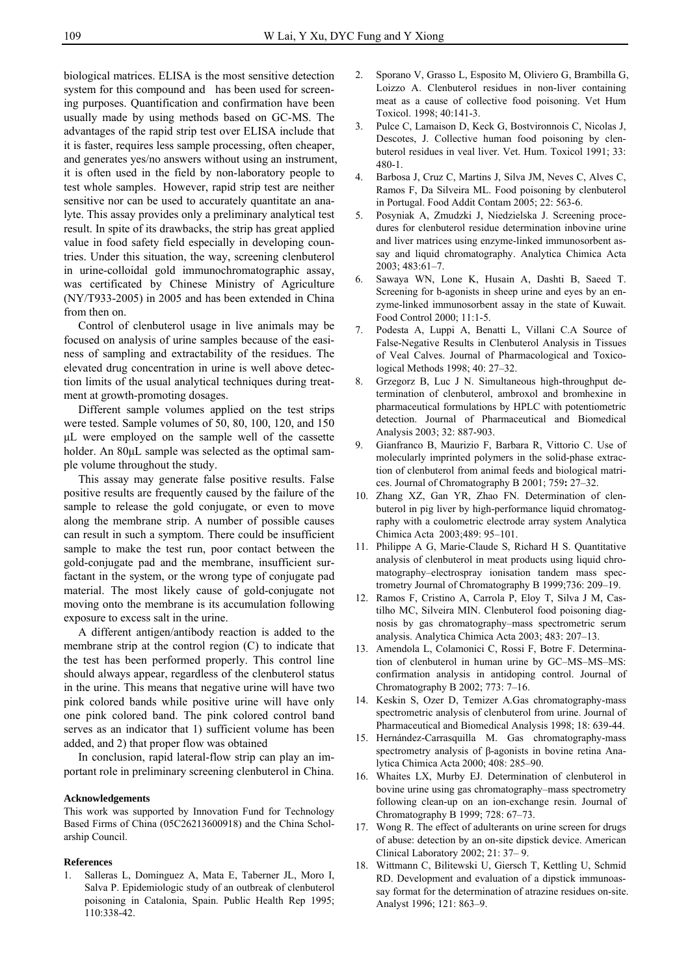biological matrices. ELISA is the most sensitive detection system for this compound and has been used for screening purposes. Quantification and confirmation have been usually made by using methods based on GC-MS. The advantages of the rapid strip test over ELISA include that it is faster, requires less sample processing, often cheaper, and generates yes/no answers without using an instrument, it is often used in the field by non-laboratory people to test whole samples. However, rapid strip test are neither sensitive nor can be used to accurately quantitate an analyte. This assay provides only a preliminary analytical test result. In spite of its drawbacks, the strip has great applied value in food safety field especially in developing countries. Under this situation, the way, screening clenbuterol in urine-colloidal gold immunochromatographic assay, was certificated by Chinese Ministry of Agriculture (NY/T933-2005) in 2005 and has been extended in China from then on.

 Control of clenbuterol usage in live animals may be focused on analysis of urine samples because of the easiness of sampling and extractability of the residues. The elevated drug concentration in urine is well above detection limits of the usual analytical techniques during treatment at growth-promoting dosages.

 Different sample volumes applied on the test strips were tested. Sample volumes of 50, 80, 100, 120, and 150 μL were employed on the sample well of the cassette holder. An 80μL sample was selected as the optimal sample volume throughout the study.

 This assay may generate false positive results. False positive results are frequently caused by the failure of the sample to release the gold conjugate, or even to move along the membrane strip. A number of possible causes can result in such a symptom. There could be insufficient sample to make the test run, poor contact between the gold-conjugate pad and the membrane, insufficient surfactant in the system, or the wrong type of conjugate pad material. The most likely cause of gold-conjugate not moving onto the membrane is its accumulation following exposure to excess salt in the urine.

 A different antigen/antibody reaction is added to the membrane strip at the control region (C) to indicate that the test has been performed properly. This control line should always appear, regardless of the clenbuterol status in the urine. This means that negative urine will have two pink colored bands while positive urine will have only one pink colored band. The pink colored control band serves as an indicator that 1) sufficient volume has been added, and 2) that proper flow was obtained

 In conclusion, rapid lateral-flow strip can play an important role in preliminary screening clenbuterol in China.

#### **Acknowledgements**

This work was supported by Innovation Fund for Technology Based Firms of China (05C26213600918) and the China Scholarship Council.

#### **References**

1. Salleras L, Dominguez A, Mata E, Taberner JL, Moro I, Salva P. Epidemiologic study of an outbreak of clenbuterol poisoning in Catalonia, Spain. Public Health Rep 1995; 110:338-42.

- 2. Sporano V, Grasso L, Esposito M, Oliviero G, Brambilla G, Loizzo A. Clenbuterol residues in non-liver containing meat as a cause of collective food poisoning. Vet Hum Toxicol. 1998; 40:141-3.
- 3. Pulce C, Lamaison D, Keck G, Bostvironnois C, Nicolas J, Descotes, J. Collective human food poisoning by clenbuterol residues in veal liver. Vet. Hum. Toxicol 1991; 33: 480-1.
- 4. Barbosa J, Cruz C, Martins J, Silva JM, Neves C, Alves C, Ramos F, Da Silveira ML. Food poisoning by clenbuterol in Portugal. Food Addit Contam 2005; 22: 563-6.
- 5. Posyniak A, Zmudzki J, Niedzielska J. Screening procedures for clenbuterol residue determination inbovine urine and liver matrices using enzyme-linked immunosorbent assay and liquid chromatography. Analytica Chimica Acta 2003; 483:61–7.
- 6. Sawaya WN, Lone K, Husain A, Dashti B, Saeed T. Screening for b-agonists in sheep urine and eyes by an enzyme-linked immunosorbent assay in the state of Kuwait. Food Control 2000; 11:1-5.
- 7. Podesta A, Luppi A, Benatti L, Villani C.A Source of False-Negative Results in Clenbuterol Analysis in Tissues of Veal Calves. Journal of Pharmacological and Toxicological Methods 1998; 40: 27–32.
- 8. Grzegorz B, Luc J N. Simultaneous high-throughput determination of clenbuterol, ambroxol and bromhexine in pharmaceutical formulations by HPLC with potentiometric detection. Journal of Pharmaceutical and Biomedical Analysis 2003; 32: 887-903.
- 9. Gianfranco B, Maurizio F, Barbara R, Vittorio C. Use of molecularly imprinted polymers in the solid-phase extraction of clenbuterol from animal feeds and biological matrices. Journal of Chromatography B 2001; 759**:** 27–32.
- 10. Zhang XZ, Gan YR, Zhao FN. Determination of clenbuterol in pig liver by high-performance liquid chromatography with a coulometric electrode array system Analytica Chimica Acta 2003;489: 95–101.
- 11. Philippe A G, Marie-Claude S, Richard H S. Quantitative analysis of clenbuterol in meat products using liquid chromatography–electrospray ionisation tandem mass spectrometry Journal of Chromatography B 1999;736: 209–19.
- 12. Ramos F, Cristino A, Carrola P, Eloy T, Silva J M, Castilho MC, Silveira MIN. Clenbuterol food poisoning diagnosis by gas chromatography–mass spectrometric serum analysis. Analytica Chimica Acta 2003; 483: 207–13.
- 13. Amendola L, Colamonici C, Rossi F, Botre F. Determination of clenbuterol in human urine by GC–MS–MS–MS: confirmation analysis in antidoping control. Journal of Chromatography B 2002; 773: 7–16.
- 14. Keskin S, Ozer D, Temizer A.Gas chromatography-mass spectrometric analysis of clenbuterol from urine. Journal of Pharmaceutical and Biomedical Analysis 1998; 18: 639-44.
- 15. Hernández-Carrasquilla M. Gas chromatography-mass spectrometry analysis of β-agonists in bovine retina Analytica Chimica Acta 2000; 408: 285–90.
- 16. Whaites LX, Murby EJ. Determination of clenbuterol in bovine urine using gas chromatography–mass spectrometry following clean-up on an ion-exchange resin. Journal of Chromatography B 1999; 728: 67–73.
- 17. Wong R. The effect of adulterants on urine screen for drugs of abuse: detection by an on-site dipstick device. American Clinical Laboratory 2002; 21: 37– 9.
- 18. Wittmann C, Bilitewski U, Giersch T, Kettling U, Schmid RD. Development and evaluation of a dipstick immunoassay format for the determination of atrazine residues on-site. Analyst 1996; 121: 863–9.